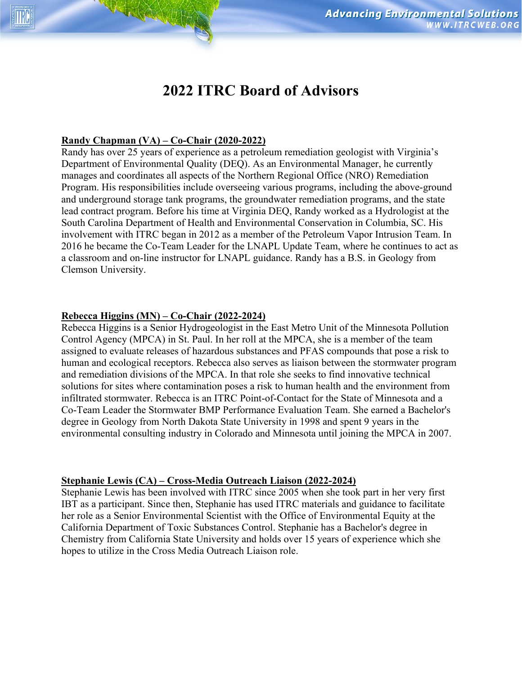# **2022 ITRC Board of Advisors**

## **Randy Chapman (VA) – Co-Chair (2020-2022)**

Randy has over 25 years of experience as a petroleum remediation geologist with Virginia's Department of Environmental Quality (DEQ). As an Environmental Manager, he currently manages and coordinates all aspects of the Northern Regional Office (NRO) Remediation Program. His responsibilities include overseeing various programs, including the above-ground and underground storage tank programs, the groundwater remediation programs, and the state lead contract program. Before his time at Virginia DEQ, Randy worked as a Hydrologist at the South Carolina Department of Health and Environmental Conservation in Columbia, SC. His involvement with ITRC began in 2012 as a member of the Petroleum Vapor Intrusion Team. In 2016 he became the Co-Team Leader for the LNAPL Update Team, where he continues to act as a classroom and on-line instructor for LNAPL guidance. Randy has a B.S. in Geology from Clemson University.

## **Rebecca Higgins (MN) – Co-Chair (2022-2024)**

Rebecca Higgins is a Senior Hydrogeologist in the East Metro Unit of the Minnesota Pollution Control Agency (MPCA) in St. Paul. In her roll at the MPCA, she is a member of the team assigned to evaluate releases of hazardous substances and PFAS compounds that pose a risk to human and ecological receptors. Rebecca also serves as liaison between the stormwater program and remediation divisions of the MPCA. In that role she seeks to find innovative technical solutions for sites where contamination poses a risk to human health and the environment from infiltrated stormwater. Rebecca is an ITRC Point-of-Contact for the State of Minnesota and a Co-Team Leader the Stormwater BMP Performance Evaluation Team. She earned a Bachelor's degree in Geology from North Dakota State University in 1998 and spent 9 years in the environmental consulting industry in Colorado and Minnesota until joining the MPCA in 2007.

## **Stephanie Lewis (CA) – Cross-Media Outreach Liaison (2022-2024)**

Stephanie Lewis has been involved with ITRC since 2005 when she took part in her very first IBT as a participant. Since then, Stephanie has used ITRC materials and guidance to facilitate her role as a Senior Environmental Scientist with the Office of Environmental Equity at the California Department of Toxic Substances Control. Stephanie has a Bachelor's degree in Chemistry from California State University and holds over 15 years of experience which she hopes to utilize in the Cross Media Outreach Liaison role.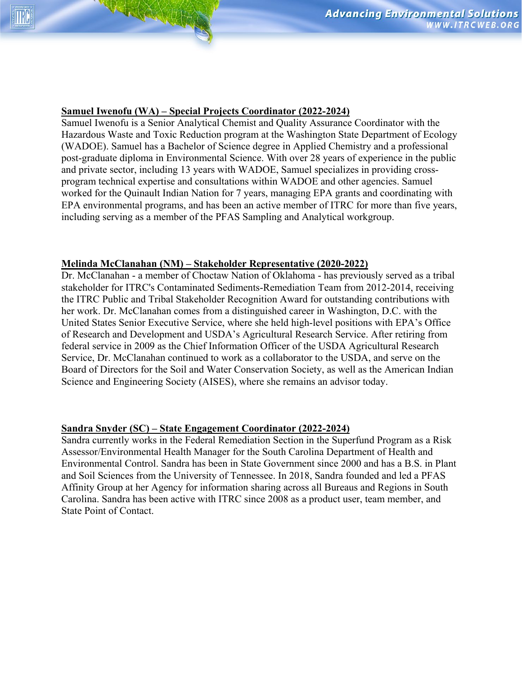## **Samuel Iwenofu (WA) – Special Projects Coordinator (2022-2024)**

Samuel Iwenofu is a Senior Analytical Chemist and Quality Assurance Coordinator with the Hazardous Waste and Toxic Reduction program at the Washington State Department of Ecology (WADOE). Samuel has a Bachelor of Science degree in Applied Chemistry and a professional post-graduate diploma in Environmental Science. With over 28 years of experience in the public and private sector, including 13 years with WADOE, Samuel specializes in providing crossprogram technical expertise and consultations within WADOE and other agencies. Samuel worked for the Quinault Indian Nation for 7 years, managing EPA grants and coordinating with EPA environmental programs, and has been an active member of ITRC for more than five years, including serving as a member of the PFAS Sampling and Analytical workgroup.

#### **Melinda McClanahan (NM) – Stakeholder Representative (2020-2022)**

Dr. McClanahan - a member of Choctaw Nation of Oklahoma - has previously served as a tribal stakeholder for ITRC's Contaminated Sediments-Remediation Team from 2012-2014, receiving the ITRC Public and Tribal Stakeholder Recognition Award for outstanding contributions with her work. Dr. McClanahan comes from a distinguished career in Washington, D.C. with the United States Senior Executive Service, where she held high-level positions with EPA's Office of Research and Development and USDA's Agricultural Research Service. After retiring from federal service in 2009 as the Chief Information Officer of the USDA Agricultural Research Service, Dr. McClanahan continued to work as a collaborator to the USDA, and serve on the Board of Directors for the Soil and Water Conservation Society, as well as the American Indian Science and Engineering Society (AISES), where she remains an advisor today.

#### **Sandra Snyder (SC) – State Engagement Coordinator (2022-2024)**

Sandra currently works in the Federal Remediation Section in the Superfund Program as a Risk Assessor/Environmental Health Manager for the South Carolina Department of Health and Environmental Control. Sandra has been in State Government since 2000 and has a B.S. in Plant and Soil Sciences from the University of Tennessee. In 2018, Sandra founded and led a PFAS Affinity Group at her Agency for information sharing across all Bureaus and Regions in South Carolina. Sandra has been active with ITRC since 2008 as a product user, team member, and State Point of Contact.